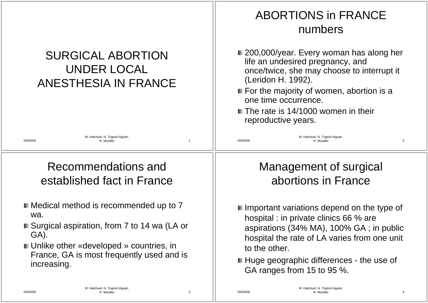|                                                                               | <b>ABORTIONS in FRANCE</b><br>numbers                                                                                                                                                                                                                                                                    |  |  |
|-------------------------------------------------------------------------------|----------------------------------------------------------------------------------------------------------------------------------------------------------------------------------------------------------------------------------------------------------------------------------------------------------|--|--|
| <b>SURGICAL ABORTION</b><br><b>UNDER LOCAL</b><br><b>ANESTHESIA IN FRANCE</b> | ■ 200,000/year. Every woman has along her<br>life an undesired pregnancy, and<br>once/twice, she may choose to interrupt it<br>(Leridon H. 1992).<br>$\blacksquare$ For the majority of women, abortion is a<br>one time occurrence.<br><b>The rate is 14/1000 women in their</b><br>reproductive years. |  |  |
| M. Hatchuel, N. Trignol-Viguier,<br>09/20/06<br>R. Moullie                    | M. Hatchuel, N. Trignol-Viguier,<br>$\overline{2}$<br>09/20/06<br>R. Moullier                                                                                                                                                                                                                            |  |  |
| Recommendations and                                                           | Management of surgical                                                                                                                                                                                                                                                                                   |  |  |
| established fact in France                                                    | abortions in France                                                                                                                                                                                                                                                                                      |  |  |
| ■ Medical method is recommended up to 7                                       | $\blacksquare$ Important variations depend on the type of                                                                                                                                                                                                                                                |  |  |
| wa.                                                                           | hospital : in private clinics 66 % are                                                                                                                                                                                                                                                                   |  |  |
| ■ Surgical aspiration, from 7 to 14 wa (LA or                                 | aspirations (34% MA), 100% GA; in public                                                                                                                                                                                                                                                                 |  |  |
| GA).                                                                          | hospital the rate of LA varies from one unit                                                                                                                                                                                                                                                             |  |  |
| ■ Unlike other «developed » countries, in                                     | to the other.                                                                                                                                                                                                                                                                                            |  |  |
| France, GA is most frequently used and is                                     | ■ Huge geographic differences - the use of                                                                                                                                                                                                                                                               |  |  |
| increasing.                                                                   | GA ranges from 15 to 95 %.                                                                                                                                                                                                                                                                               |  |  |
| M. Hatchuel, N. Trignol-Viguier,                                              | M. Hatchuel, N. Trignol-Viguier,                                                                                                                                                                                                                                                                         |  |  |
| 09/20/06                                                                      | 09/20/06                                                                                                                                                                                                                                                                                                 |  |  |
| R. Moullier                                                                   | R. Moullier                                                                                                                                                                                                                                                                                              |  |  |
| 3                                                                             | 4                                                                                                                                                                                                                                                                                                        |  |  |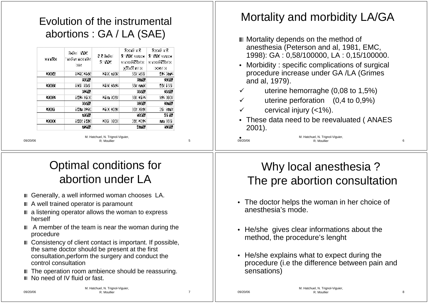### Evolution of the instrumental abortions : GA / LA (SAE)

| année | fotal MC<br>instrumenta<br>[6] | N 5 fotal<br>a we | dont nb<br><b>TIME avec</b><br>amestheste<br>gënë ale | domi mb<br><b>C</b> MC award<br>aneshëste<br>$[0]$ (e) $[1]$ |
|-------|--------------------------------|-------------------|-------------------------------------------------------|--------------------------------------------------------------|
| 2004  | 120 253                        | 21 S 70 S         | 36 K.X                                                | 42 672                                                       |
|       | 59%                            |                   | 57%                                                   | 33%                                                          |
| 2003  | 181 S.T                        | 213 352           | 85 MAO                                                | 46 181                                                       |
|       | 62%                            |                   | 55%                                                   | 35%                                                          |
| 2002  | 142 010                        | 21 <b>7</b> 963   | 39 812                                                | 52 693                                                       |
|       | 65%                            |                   | 63%                                                   | 37%                                                          |
| 200M  | 147 629                        | 210 363           | 86 058                                                | 61 576                                                       |
|       | 70%                            |                   | 59%                                                   | 41 %                                                         |
| 2000  | 146 148                        | 201 898           | 69262                                                 | 777 SST                                                      |
|       | 72%                            |                   | 47%                                                   | 53%                                                          |

09/20/06

09/20/06

M. Hatchuel, N. Trignol-Viguier, R. Moullier 5

## Optimal conditions for abortion under LA

- Generally, a well informed woman chooses LA.
- A well trained operator is paramount
- $\blacksquare$  a listening operator allows the woman to express herself
- $\blacksquare$  A member of the team is near the woman during the procedure
- Consistency of client contact is important. If possible, the same doctor should be present at the first consultation,perform the surgery and conduct the control consultation
- The operation room ambience should be reassuring.
- No need of IV fluid or fast.

### Mortality and morbidity LA/GA

- **Mortality depends on the method of** anesthesia (Peterson and al, 1981, EMC, 1998): GA : 0,58/100000, LA : 0,15/100000.
- Morbidity : specific complications of surgical procedure increase under GA /LA (Grimes and al, 1979).
- uterine hemorraghe (0,08 to 1,5%)
- $\checkmark$  uterine perforation (0,4 to 0,9%)
- cervical injury (<1%).
- These data need to be reevaluated ( ANAES 2001).

●<br>09/20/06

M. Hatchuel, N. Trignol-Viguier, R. Moullier 6

### Why local anesthesia ? The pre abortion consultation

- The doctor helps the woman in her choice of anesthesia's mode.
- He/she gives clear informations about the method, the procedure's lenght
- • He/she explains what to expect during the procedure (i.e the difference between pain and sensations)

09/20/06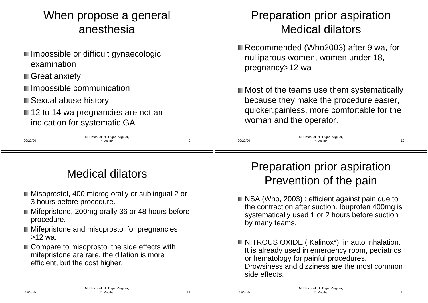## When propose a general anesthesia

- **I** Impossible or difficult gynaecologic examination
- **Great anxiety**
- **I** Impossible communication
- Sexual abuse history
- 12 to 14 wa pregnancies are not an indication for systematic GA

## Preparation prior aspiration Medical dilators

- Recommended (Who2003) after 9 wa, for nulliparous women, women under 18, pregnancy>12 wa
- **Most of the teams use them systematically** because they make the procedure easier, quicker,painless, more comfortable for the woman and the operator.

### 09/20/06 M. Hatchuel, N. Trignol-Viguier, R. Moullier 9 09/20/06 M. Hatchuel, N. Trignol-Viguier, R. Moullier 2008

# Medical dilators

- **Misoprostol, 400 microg orally or sublingual 2 or** 3 hours before procedure.
- Mifepristone, 200mg orally 36 or 48 hours before procedure.
- **Mifepristone and misoprostol for pregnancies**  $>12$  wa.
- Compare to misoprostol, the side effects with mifepristone are rare, the dilation is more efficient, but the cost higher.

### Preparation prior aspiration Prevention of the pain

- NSAI(Who, 2003) : efficient against pain due to the contraction after suction. Ibuprofen 400mg is systematically used 1 or 2 hours before suction by many teams.
- NITROUS OXIDE ( Kalinox<sup>\*</sup>), in auto inhalation. It is already used in emergency room, pediatrics or hematology for painful procedures. Drowsiness and dizziness are the most common side effects.

09/20/06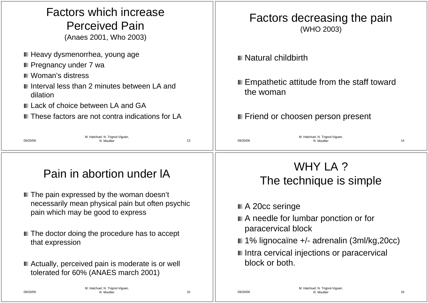| <b>Factors which increase</b><br><b>Perceived Pain</b><br>(Anaes 2001, Who 2003)                                                                                                                                                             | Factors decreasing the pain<br>(WHO 2003)                                                                            |  |  |
|----------------------------------------------------------------------------------------------------------------------------------------------------------------------------------------------------------------------------------------------|----------------------------------------------------------------------------------------------------------------------|--|--|
| ■ Heavy dysmenorrhea, young age<br>■ Pregnancy under 7 wa<br><b>■ Woman's distress</b><br>I Interval less than 2 minutes between LA and<br>dilation<br>Lack of choice between LA and GA<br>■ These factors are not contra indications for LA | Natural childbirth<br>■ Empathetic attitude from the staff toward<br>the woman<br>■ Friend or choosen person present |  |  |
| M. Hatchuel, N. Trignol-Viguier,<br>13<br>09/20/06<br>R. Moullier                                                                                                                                                                            | M. Hatchuel, N. Trignol-Viguier,<br>09/20/06<br>14<br>R. Moullier                                                    |  |  |
| Pain in abortion under IA                                                                                                                                                                                                                    | WHY LA?<br>The technique is simple                                                                                   |  |  |
| ■ The pain expressed by the woman doesn't<br>necessarily mean physical pain but often psychic<br>pain which may be good to express                                                                                                           | ■ A 20cc seringe<br>A needle for lumbar ponction or for                                                              |  |  |
| ■ The doctor doing the procedure has to accept<br>that expression                                                                                                                                                                            | paracervical block<br>■ 1% lignocaïne +/- adrenalin (3ml/kg,20cc)<br>Intra cervical injections or paracervical       |  |  |
| ■ Actually, perceived pain is moderate is or well<br>tolerated for 60% (ANAES march 2001)<br>M. Hatchuel, N. Trignol-Viguier,                                                                                                                | block or both.<br>M. Hatchuel, N. Trignol-Viguier                                                                    |  |  |

09/20/06

R. Moullier 2012 16

R. Moullier 15

09/20/06